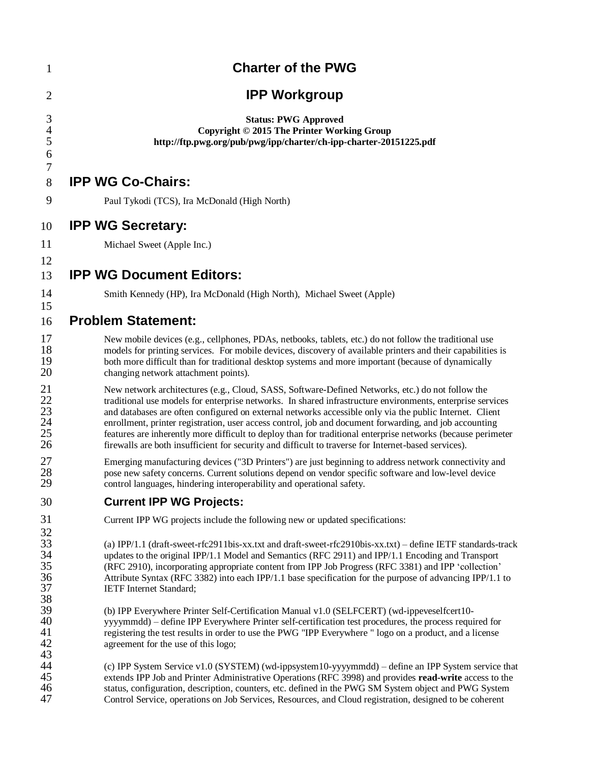| 1                                             | <b>Charter of the PWG</b>                                                                                                                                                                                                                                                                                                                                                                                                                                                                                                                                                                                                                                   |  |  |  |  |
|-----------------------------------------------|-------------------------------------------------------------------------------------------------------------------------------------------------------------------------------------------------------------------------------------------------------------------------------------------------------------------------------------------------------------------------------------------------------------------------------------------------------------------------------------------------------------------------------------------------------------------------------------------------------------------------------------------------------------|--|--|--|--|
| 2                                             | <b>IPP Workgroup</b>                                                                                                                                                                                                                                                                                                                                                                                                                                                                                                                                                                                                                                        |  |  |  |  |
| 3<br>$\overline{4}$<br>5<br>6                 | <b>Status: PWG Approved</b><br>Copyright © 2015 The Printer Working Group<br>http://ftp.pwg.org/pub/pwg/ipp/charter/ch-ipp-charter-20151225.pdf                                                                                                                                                                                                                                                                                                                                                                                                                                                                                                             |  |  |  |  |
| $\boldsymbol{7}$<br>8                         | <b>IPP WG Co-Chairs:</b>                                                                                                                                                                                                                                                                                                                                                                                                                                                                                                                                                                                                                                    |  |  |  |  |
| 9                                             | Paul Tykodi (TCS), Ira McDonald (High North)                                                                                                                                                                                                                                                                                                                                                                                                                                                                                                                                                                                                                |  |  |  |  |
| 10                                            | <b>IPP WG Secretary:</b>                                                                                                                                                                                                                                                                                                                                                                                                                                                                                                                                                                                                                                    |  |  |  |  |
| 11                                            | Michael Sweet (Apple Inc.)                                                                                                                                                                                                                                                                                                                                                                                                                                                                                                                                                                                                                                  |  |  |  |  |
| 12<br>13                                      | <b>IPP WG Document Editors:</b>                                                                                                                                                                                                                                                                                                                                                                                                                                                                                                                                                                                                                             |  |  |  |  |
| 14                                            | Smith Kennedy (HP), Ira McDonald (High North), Michael Sweet (Apple)                                                                                                                                                                                                                                                                                                                                                                                                                                                                                                                                                                                        |  |  |  |  |
| 15                                            |                                                                                                                                                                                                                                                                                                                                                                                                                                                                                                                                                                                                                                                             |  |  |  |  |
| 16                                            | <b>Problem Statement:</b>                                                                                                                                                                                                                                                                                                                                                                                                                                                                                                                                                                                                                                   |  |  |  |  |
| 17<br>18<br>19<br>20                          | New mobile devices (e.g., cellphones, PDAs, netbooks, tablets, etc.) do not follow the traditional use<br>models for printing services. For mobile devices, discovery of available printers and their capabilities is<br>both more difficult than for traditional desktop systems and more important (because of dynamically<br>changing network attachment points).                                                                                                                                                                                                                                                                                        |  |  |  |  |
| 21<br>22<br>23<br>24<br>25<br>26              | New network architectures (e.g., Cloud, SASS, Software-Defined Networks, etc.) do not follow the<br>traditional use models for enterprise networks. In shared infrastructure environments, enterprise services<br>and databases are often configured on external networks accessible only via the public Internet. Client<br>enrollment, printer registration, user access control, job and document forwarding, and job accounting<br>features are inherently more difficult to deploy than for traditional enterprise networks (because perimeter<br>firewalls are both insufficient for security and difficult to traverse for Internet-based services). |  |  |  |  |
| 27<br>28<br>29                                | Emerging manufacturing devices ("3D Printers") are just beginning to address network connectivity and<br>pose new safety concerns. Current solutions depend on vendor specific software and low-level device<br>control languages, hindering interoperability and operational safety.                                                                                                                                                                                                                                                                                                                                                                       |  |  |  |  |
| 30                                            | <b>Current IPP WG Projects:</b>                                                                                                                                                                                                                                                                                                                                                                                                                                                                                                                                                                                                                             |  |  |  |  |
| 31                                            | Current IPP WG projects include the following new or updated specifications:                                                                                                                                                                                                                                                                                                                                                                                                                                                                                                                                                                                |  |  |  |  |
| 32<br>33<br>34<br>35<br>36<br>$\frac{37}{38}$ | (a) IPP/1.1 (draft-sweet-rfc2911bis-xx.txt and draft-sweet-rfc2910bis-xx.txt) – define IETF standards-track<br>updates to the original IPP/1.1 Model and Semantics (RFC 2911) and IPP/1.1 Encoding and Transport<br>(RFC 2910), incorporating appropriate content from IPP Job Progress (RFC 3381) and IPP 'collection'<br>Attribute Syntax (RFC 3382) into each IPP/1.1 base specification for the purpose of advancing IPP/1.1 to<br><b>IETF</b> Internet Standard;                                                                                                                                                                                       |  |  |  |  |
| 39<br>40<br>41<br>42<br>43<br>44              | (b) IPP Everywhere Printer Self-Certification Manual v1.0 (SELFCERT) (wd-ippeveselfcert10-<br>yyyymmdd) – define IPP Everywhere Printer self-certification test procedures, the process required for<br>registering the test results in order to use the PWG "IPP Everywhere " logo on a product, and a license<br>agreement for the use of this logo;                                                                                                                                                                                                                                                                                                      |  |  |  |  |
| 45<br>$\frac{46}{1}$<br>47                    | (c) IPP System Service v1.0 (SYSTEM) (wd-ippsystem10-yyyymmdd) - define an IPP System service that<br>extends IPP Job and Printer Administrative Operations (RFC 3998) and provides read-write access to the<br>status, configuration, description, counters, etc. defined in the PWG SM System object and PWG System<br>Control Service, operations on Job Services, Resources, and Cloud registration, designed to be coherent                                                                                                                                                                                                                            |  |  |  |  |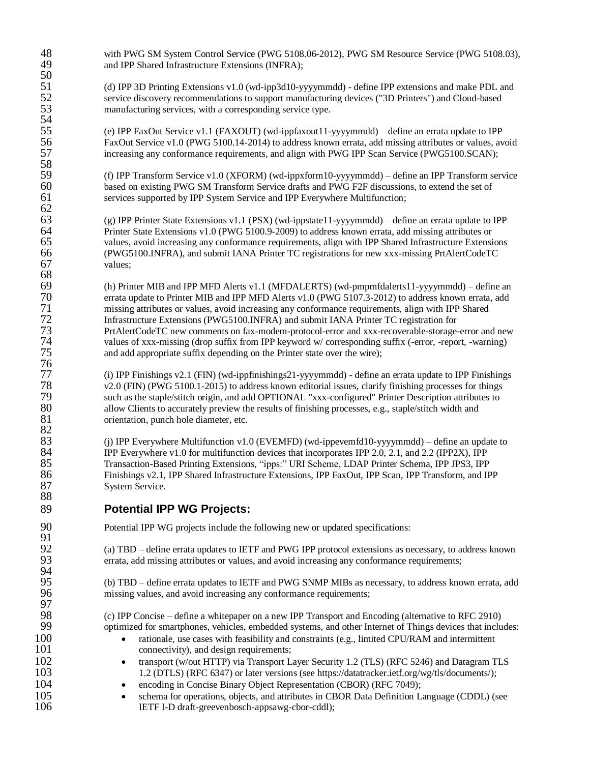48 with PWG SM System Control Service (PWG 5108.06-2012), PWG SM Resource Service (PWG 5108.03),<br>49 and IPP Shared Infrastructure Extensions (INFRA): and IPP Shared Infrastructure Extensions (INFRA);

51 (d) IPP 3D Printing Extensions v1.0 (wd-ipp3d10-yyyymmdd) - define IPP extensions and make PDL and<br>52 service discovery recommendations to support manufacturing devices ("3D Printers") and Cloud-based 52 service discovery recommendations to support manufacturing devices ("3D Printers") and Cloud-based<br>53 manufacturing services, with a corresponding service type. manufacturing services, with a corresponding service type.

55 (e) IPP FaxOut Service v1.1 (FAXOUT) (wd-ippfaxout11-yyyymmdd) – define an errata update to IPP 56 FaxOut Service v1.0 (PWG 5100.14-2014) to address known errata, add missing attributes or values, avoid<br>57 fincreasing any conformance requirements, and align with PWG IPP Scan Service (PWG5100.SCAN); increasing any conformance requirements, and align with PWG IPP Scan Service (PWG5100.SCAN);

59 (f) IPP Transform Service v1.0 (XFORM) (wd-ippxform10-yyyymmdd) – define an IPP Transform service based on existing PWG SM Transform Service drafts and PWG F2F discussions, to extend the set of 60 based on existing PWG SM Transform Service drafts and PWG F2F discussions, to extend the set of services supported by IPP System Service and IPP Everywhere Multifunction: services supported by IPP System Service and IPP Everywhere Multifunction;

63 (g) IPP Printer State Extensions v1.1 (PSX) (wd-ippstate11-yyyymmdd) – define an errata update to IPP  $64$  Printer State Extensions v1.0 (PWG 5100.9-2009) to address known errata, add missing attributes or Printer State Extensions v1.0 (PWG 5100.9-2009) to address known errata, add missing attributes or 65 values, avoid increasing any conformance requirements, align with IPP Shared Infrastructure Extensions 66 (PWG5100.INFRA), and submit IANA Printer TC registrations for new xxx-missing PrtAlertCodeTC values;

69 (h) Printer MIB and IPP MFD Alerts v1.1 (MFDALERTS) (wd-pmpmfdalerts11-yyyymmdd) – define an 70 errata update to Printer MIB and IPP MFD Alerts v1.0 (PWG 5107.3-2012) to address known errata, add<br>71 missing attributes or values, avoid increasing any conformance requirements, align with IPP Shared 71 missing attributes or values, avoid increasing any conformance requirements, align with IPP Shared<br>72 Infrastructure Extensions (PWG5100.INFRA) and submit IANA Printer TC registration for 72 Infrastructure Extensions (PWG5100.INFRA) and submit IANA Printer TC registration for<br>73 PrtAlertCodeTC new comments on fax-modem-protocol-error and xxx-recoverable-storage-73 PrtAlertCodeTC new comments on fax-modem-protocol-error and xxx-recoverable-storage-error and new<br>74 values of xxx-missing (drop suffix from IPP keyword w/ corresponding suffix (-error, -report, -warning) 74 values of xxx-missing (drop suffix from IPP keyword w/ corresponding suffix (-error, -report, -warning)<br>75 and add appropriate suffix depending on the Printer state over the wire); and add appropriate suffix depending on the Printer state over the wire);

77 (i) IPP Finishings v2.1 (FIN) (wd-ippfinishings21-yyyymmdd) - define an errata update to IPP Finishings<br>78 (FIN) (PWG 5100.1-2015) to address known editorial issues, clarify finishing processes for things 78 v2.0 (FIN) (PWG 5100.1-2015) to address known editorial issues, clarify finishing processes for things<br>79 such as the staple/stitch origin, and add OPTIONAL "xxx-configured" Printer Description attributes to 79 such as the staple/stitch origin, and add OPTIONAL "xxx-configured" Printer Description attributes to<br>80 sullow Clients to accurately preview the results of finishing processes, e.g., staple/stitch width and 80 allow Clients to accurately preview the results of finishing processes, e.g., staple/stitch width and orientation, punch hole diameter, etc. orientation, punch hole diameter, etc.

83 (j) IPP Everywhere Multifunction v1.0 (EVEMFD) (wd-ippevemfd10-yyyymmdd) – define an update to  $84$  IPP Everywhere v1.0 for multifunction devices that incorporates IPP 2.0, 2.1, and 2.2 (IPP2X). IPP 84 IPP Everywhere v1.0 for multifunction devices that incorporates IPP 2.0, 2.1, and 2.2 (IPP2X), IPP<br>85 Transaction-Based Printing Extensions, "ipps:" URI Scheme, LDAP Printer Schema, IPP JPS3, IPP 85 Transaction-Based Printing Extensions, "ipps:" URI Scheme, LDAP Printer Schema, IPP JPS3, IPP 86 Finishings v2.1, IPP Shared Infrastructure Extensions, IPP FaxOut, IPP Scan, IPP Transform, and IPP Scan, IPP System Service. System Service.

## 89 **Potential IPP WG Projects:**

90 Potential IPP WG projects include the following new or updated specifications:

92 (a) TBD – define errata updates to IETF and PWG IPP protocol extensions as necessary, to address known<br>93 errata, add missing attributes or values, and avoid increasing any conformance requirements; errata, add missing attributes or values, and avoid increasing any conformance requirements;

95 (b) TBD – define errata updates to IETF and PWG SNMP MIBs as necessary, to address known errata, add missing values, and avoid increasing any conformance requirements;

98 (c) IPP Concise – define a whitepaper on a new IPP Transport and Encoding (alternative to RFC 2910) 99 optimized for smartphones, vehicles, embedded systems, and other Internet of Things devices that includes:

- 100 rationale, use cases with feasibility and constraints (e.g., limited CPU/RAM and intermittent 101 connectivity), and design requirements;
- 102 **transport (w/out HTTP) via Transport Layer Security 1.2 (TLS) (RFC 5246) and Datagram TLS**<br>1.2 (DTLS) (RFC 6347) or later versions (see https://datatracker.ietf.org/wg/tls/documents/); 1.2 (DTLS) (RFC 6347) or later versions (see https://datatracker.ietf.org/wg/tls/documents/);
- 104 encoding in Concise Binary Object Representation (CBOR) (RFC 7049);<br>105 schema for operations, objects, and attributes in CBOR Data Definition La
- 105 
schema for operations, objects, and attributes in CBOR Data Definition Language (CDDL) (see<br>
106 
IETF I-D draft-greevenbosch-appsawg-cbor-cddl): 106 IETF I-D draft-greevenbosch-appsawg-cbor-cddl);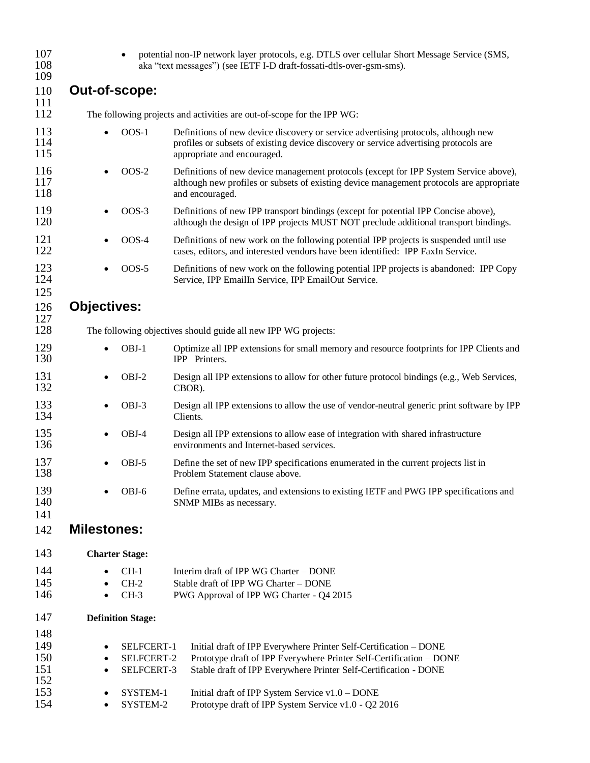| 107<br>108<br>109 |                                                                        |                                                                | potential non-IP network layer protocols, e.g. DTLS over cellular Short Message Service (SMS,<br>aka "text messages") (see IETF I-D draft-fossati-dtls-over-gsm-sms).                                      |  |  |  |  |
|-------------------|------------------------------------------------------------------------|----------------------------------------------------------------|------------------------------------------------------------------------------------------------------------------------------------------------------------------------------------------------------------|--|--|--|--|
| 110               | Out-of-scope:                                                          |                                                                |                                                                                                                                                                                                            |  |  |  |  |
| 111<br>112        | The following projects and activities are out-of-scope for the IPP WG: |                                                                |                                                                                                                                                                                                            |  |  |  |  |
| 113<br>114<br>115 |                                                                        | $OOS-1$                                                        | Definitions of new device discovery or service advertising protocols, although new<br>profiles or subsets of existing device discovery or service advertising protocols are<br>appropriate and encouraged. |  |  |  |  |
| 116<br>117<br>118 |                                                                        | $OOS-2$                                                        | Definitions of new device management protocols (except for IPP System Service above),<br>although new profiles or subsets of existing device management protocols are appropriate<br>and encouraged.       |  |  |  |  |
| 119<br>120        |                                                                        | $OOS-3$                                                        | Definitions of new IPP transport bindings (except for potential IPP Concise above),<br>although the design of IPP projects MUST NOT preclude additional transport bindings.                                |  |  |  |  |
| 121<br>122        |                                                                        | $OOS-4$                                                        | Definitions of new work on the following potential IPP projects is suspended until use<br>cases, editors, and interested vendors have been identified: IPP FaxIn Service.                                  |  |  |  |  |
| 123<br>124<br>125 |                                                                        | $OOS-5$                                                        | Definitions of new work on the following potential IPP projects is abandoned: IPP Copy<br>Service, IPP EmailIn Service, IPP EmailOut Service.                                                              |  |  |  |  |
| 126               | <b>Objectives:</b>                                                     |                                                                |                                                                                                                                                                                                            |  |  |  |  |
| 127<br>128        |                                                                        | The following objectives should guide all new IPP WG projects: |                                                                                                                                                                                                            |  |  |  |  |
| 129<br>130        |                                                                        | OBJ-1                                                          | Optimize all IPP extensions for small memory and resource footprints for IPP Clients and<br>IPP Printers.                                                                                                  |  |  |  |  |
| 131<br>132        |                                                                        | OBJ-2                                                          | Design all IPP extensions to allow for other future protocol bindings (e.g., Web Services,<br>CBOR).                                                                                                       |  |  |  |  |
| 133<br>134        |                                                                        | OBJ-3                                                          | Design all IPP extensions to allow the use of vendor-neutral generic print software by IPP<br>Clients.                                                                                                     |  |  |  |  |
| 135<br>136        |                                                                        | OBJ-4                                                          | Design all IPP extensions to allow ease of integration with shared infrastructure<br>environments and Internet-based services.                                                                             |  |  |  |  |
| 137<br>138        |                                                                        | OBJ-5                                                          | Define the set of new IPP specifications enumerated in the current projects list in<br>Problem Statement clause above.                                                                                     |  |  |  |  |
| 139<br>140        |                                                                        | OBJ-6                                                          | Define errata, updates, and extensions to existing IETF and PWG IPP specifications and<br>SNMP MIBs as necessary.                                                                                          |  |  |  |  |
| 141<br>142        | <b>Milestones:</b>                                                     |                                                                |                                                                                                                                                                                                            |  |  |  |  |
| 143               |                                                                        | <b>Charter Stage:</b>                                          |                                                                                                                                                                                                            |  |  |  |  |
| 144               |                                                                        | $CH-1$                                                         | Interim draft of IPP WG Charter – DONE                                                                                                                                                                     |  |  |  |  |
| 145               |                                                                        | $CH-2$                                                         | Stable draft of IPP WG Charter - DONE                                                                                                                                                                      |  |  |  |  |
| 146               | ٠                                                                      | $CH-3$                                                         | PWG Approval of IPP WG Charter - Q4 2015                                                                                                                                                                   |  |  |  |  |
| 147               |                                                                        | <b>Definition Stage:</b>                                       |                                                                                                                                                                                                            |  |  |  |  |
| 148<br>149        |                                                                        | SELFCERT-1                                                     | Initial draft of IPP Everywhere Printer Self-Certification - DONE                                                                                                                                          |  |  |  |  |
| 150               |                                                                        | SELFCERT-2                                                     | Prototype draft of IPP Everywhere Printer Self-Certification - DONE                                                                                                                                        |  |  |  |  |
| 151               |                                                                        | SELFCERT-3                                                     | Stable draft of IPP Everywhere Printer Self-Certification - DONE                                                                                                                                           |  |  |  |  |
| 152               |                                                                        |                                                                |                                                                                                                                                                                                            |  |  |  |  |
| 153               |                                                                        | SYSTEM-1                                                       | Initial draft of IPP System Service v1.0 - DONE                                                                                                                                                            |  |  |  |  |
| 154               |                                                                        | SYSTEM-2                                                       | Prototype draft of IPP System Service v1.0 - Q2 2016                                                                                                                                                       |  |  |  |  |